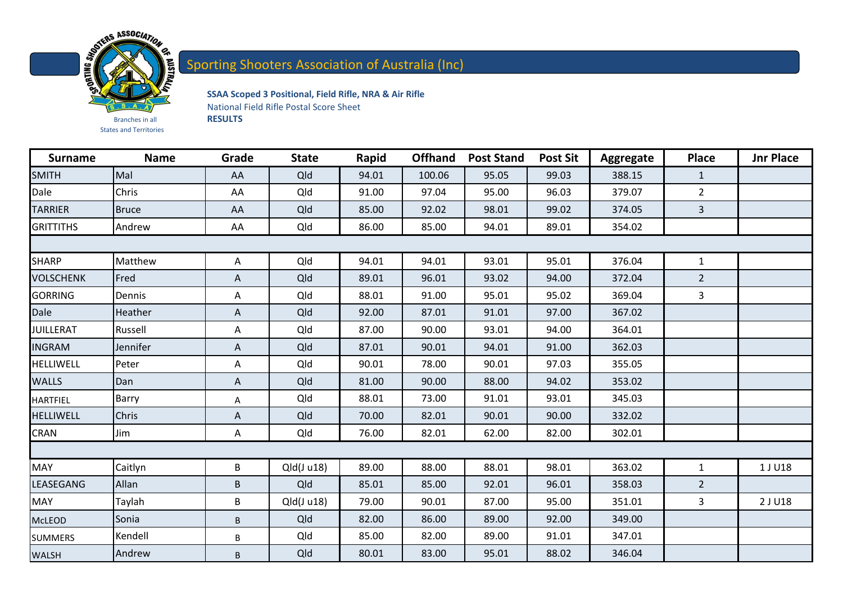

## Sporting Shooters Association of Australia (Inc)

**SSAA Scoped 3 Positional, Field Rifle, NRA & Air Rifle** National Field Rifle Postal Score Sheet<br>RESULTS

States and Territories

| <b>Surname</b>   | <b>Name</b>  | Grade | <b>State</b> | Rapid | <b>Offhand</b> | <b>Post Stand</b> | <b>Post Sit</b> | Aggregate | <b>Place</b>   | <b>Jnr Place</b> |
|------------------|--------------|-------|--------------|-------|----------------|-------------------|-----------------|-----------|----------------|------------------|
| <b>SMITH</b>     | Mal          | AA    | Qld          | 94.01 | 100.06         | 95.05             | 99.03           | 388.15    | $\mathbf{1}$   |                  |
| Dale             | Chris        | AA    | Qld          | 91.00 | 97.04          | 95.00             | 96.03           | 379.07    | $\overline{2}$ |                  |
| <b>TARRIER</b>   | <b>Bruce</b> | AA    | Qld          | 85.00 | 92.02          | 98.01             | 99.02           | 374.05    | $\mathbf{3}$   |                  |
| <b>GRITTITHS</b> | Andrew       | AA    | Qld          | 86.00 | 85.00          | 94.01             | 89.01           | 354.02    |                |                  |
|                  |              |       |              |       |                |                   |                 |           |                |                  |
| <b>SHARP</b>     | Matthew      | A     | Qld          | 94.01 | 94.01          | 93.01             | 95.01           | 376.04    | $\mathbf{1}$   |                  |
| <b>VOLSCHENK</b> | Fred         | A     | Qld          | 89.01 | 96.01          | 93.02             | 94.00           | 372.04    | $2^{\circ}$    |                  |
| <b>GORRING</b>   | Dennis       | A     | Qld          | 88.01 | 91.00          | 95.01             | 95.02           | 369.04    | 3              |                  |
| Dale             | Heather      | A     | Qld          | 92.00 | 87.01          | 91.01             | 97.00           | 367.02    |                |                  |
| <b>JUILLERAT</b> | Russell      | A     | Qld          | 87.00 | 90.00          | 93.01             | 94.00           | 364.01    |                |                  |
| <b>INGRAM</b>    | Jennifer     | A     | Qld          | 87.01 | 90.01          | 94.01             | 91.00           | 362.03    |                |                  |
| <b>HELLIWELL</b> | Peter        | A     | Qld          | 90.01 | 78.00          | 90.01             | 97.03           | 355.05    |                |                  |
| <b>WALLS</b>     | Dan          | A     | Qld          | 81.00 | 90.00          | 88.00             | 94.02           | 353.02    |                |                  |
| <b>HARTFIEL</b>  | Barry        | Α     | Qld          | 88.01 | 73.00          | 91.01             | 93.01           | 345.03    |                |                  |
| <b>HELLIWELL</b> | <b>Chris</b> | A     | Qld          | 70.00 | 82.01          | 90.01             | 90.00           | 332.02    |                |                  |
| <b>CRAN</b>      | Jim          | A     | Qld          | 76.00 | 82.01          | 62.00             | 82.00           | 302.01    |                |                  |
|                  |              |       |              |       |                |                   |                 |           |                |                  |
| <b>MAY</b>       | Caitlyn      | B     | Qld(J u18)   | 89.00 | 88.00          | 88.01             | 98.01           | 363.02    | $\mathbf{1}$   | 1 J U18          |
| LEASEGANG        | Allan        | B     | Qld          | 85.01 | 85.00          | 92.01             | 96.01           | 358.03    | $2^{\circ}$    |                  |
| <b>MAY</b>       | Taylah       | B     | Qld(J u18)   | 79.00 | 90.01          | 87.00             | 95.00           | 351.01    | 3              | 2 J U18          |
| <b>McLEOD</b>    | Sonia        | B     | Qld          | 82.00 | 86.00          | 89.00             | 92.00           | 349.00    |                |                  |
| <b>SUMMERS</b>   | Kendell      | B     | Qld          | 85.00 | 82.00          | 89.00             | 91.01           | 347.01    |                |                  |
| <b>WALSH</b>     | Andrew       | B     | Qld          | 80.01 | 83.00          | 95.01             | 88.02           | 346.04    |                |                  |